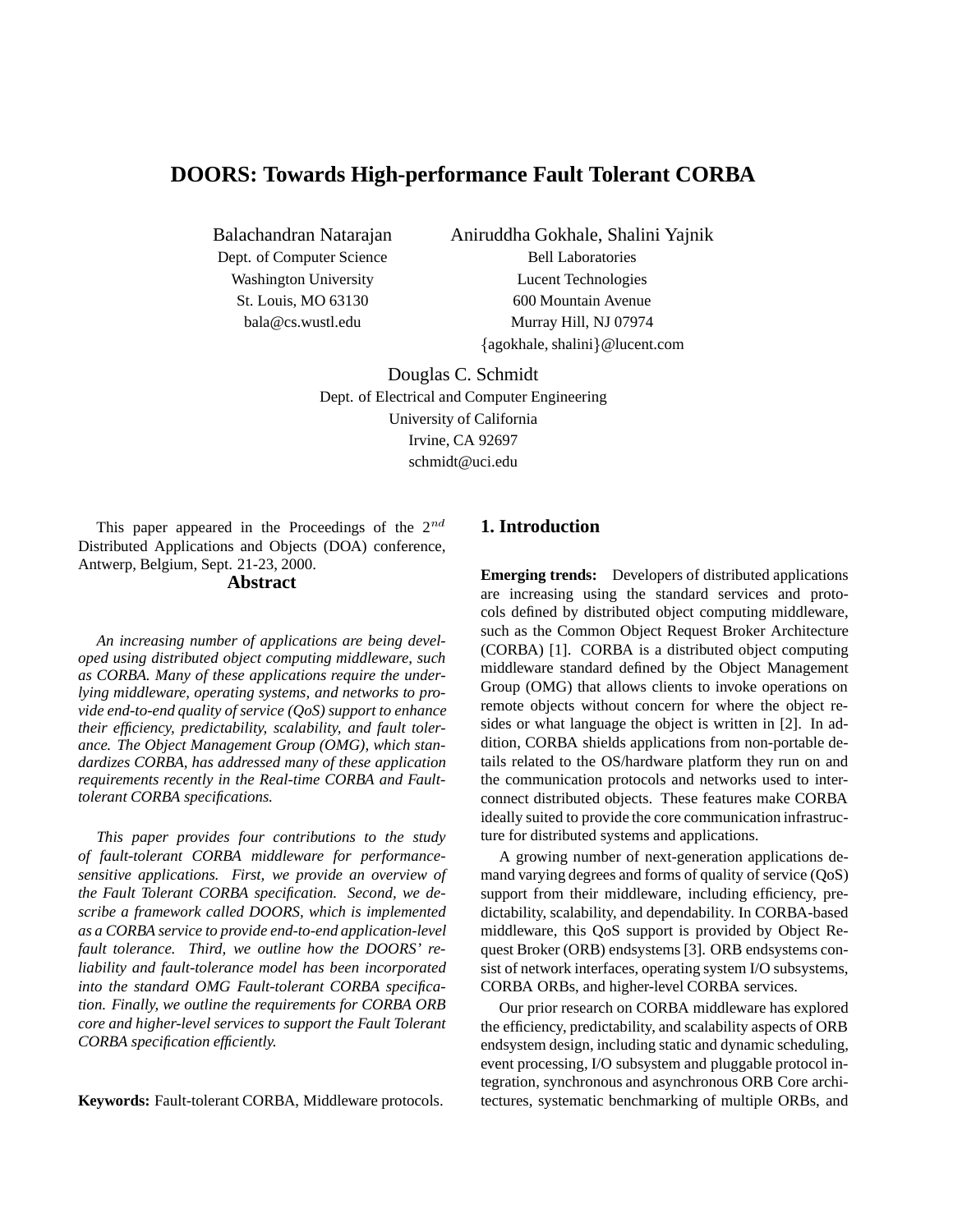# **DOORS: Towards High-performance Fault Tolerant CORBA**

Balachandran Natarajan Dept. of Computer Science Washington University St. Louis, MO 63130 bala@cs.wustl.edu

Aniruddha Gokhale, Shalini Yajnik

Bell Laboratories Lucent Technologies 600 Mountain Avenue Murray Hill, NJ 07974  ${agokhale, shalini} @lucent.com$ 

Douglas C. Schmidt Dept. of Electrical and Computer Engineering University of California Irvine, CA 92697 schmidt@uci.edu

This paper appeared in the Proceedings of the  $2^{nd}$ Distributed Applications and Objects (DOA) conference, Antwerp, Belgium, Sept. 21-23, 2000. **Abstract**

### *An increasing number of applications are being developed using distributed object computing middleware, such as CORBA. Many of these applications require the underlying middleware, operating systems, and networks to provide end-to-end quality of service (QoS) support to enhance their efficiency, predictability, scalability, and fault tolerance. The Object Management Group (OMG), which standardizes CORBA, has addressed many of these application requirements recently in the Real-time CORBA and Fault-*

*tolerant CORBA specifications.*

*This paper provides four contributions to the study of fault-tolerant CORBA middleware for performancesensitive applications. First, we provide an overview of the Fault Tolerant CORBA specification. Second, we describe a framework called DOORS, which is implemented as a CORBA service to provide end-to-end application-level fault tolerance. Third, we outline how the DOORS' reliability and fault-tolerance model has been incorporated into the standard OMG Fault-tolerant CORBA specification. Finally, we outline the requirements for CORBA ORB core and higher-level services to support the Fault Tolerant CORBA specification efficiently.*

**Keywords:** Fault-tolerant CORBA, Middleware protocols.

## **1. Introduction**

**Emerging trends:** Developers of distributed applications are increasing using the standard services and protocols defined by distributed object computing middleware, such as the Common Object Request Broker Architecture (CORBA) [1]. CORBA is a distributed object computing middleware standard defined by the Object Management Group (OMG) that allows clients to invoke operations on remote objects without concern for where the object resides or what language the object is written in [2]. In addition, CORBA shields applications from non-portable details related to the OS/hardware platform they run on and the communication protocols and networks used to interconnect distributed objects. These features make CORBA ideally suited to provide the core communication infrastructure for distributed systems and applications.

A growing number of next-generation applications demand varying degrees and forms of quality of service (QoS) support from their middleware, including efficiency, predictability, scalability, and dependability. In CORBA-based middleware, this QoS support is provided by Object Request Broker (ORB) endsystems [3]. ORB endsystems consist of network interfaces, operating system I/O subsystems, CORBA ORBs, and higher-level CORBA services.

Our prior research on CORBA middleware has explored the efficiency, predictability, and scalability aspects of ORB endsystem design, including static and dynamic scheduling, event processing, I/O subsystem and pluggable protocol integration, synchronous and asynchronous ORB Core architectures, systematic benchmarking of multiple ORBs, and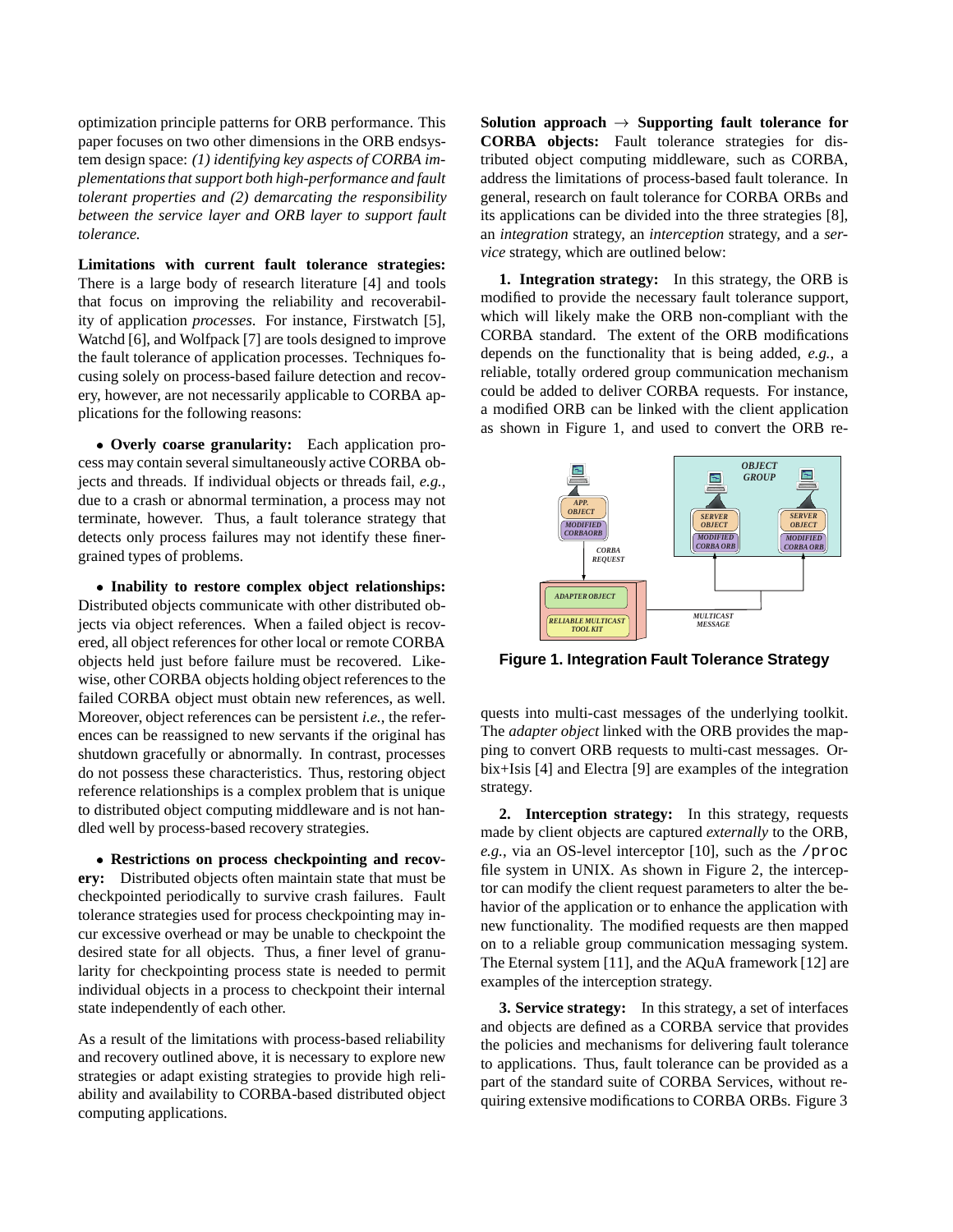optimization principle patterns for ORB performance. This paper focuses on two other dimensions in the ORB endsystem design space: *(1) identifying key aspects of CORBA implementations that support both high-performance and fault tolerant properties and (2) demarcating the responsibility between the service layer and ORB layer to support fault tolerance.*

**Limitations with current fault tolerance strategies:** There is a large body of research literature [4] and tools that focus on improving the reliability and recoverability of application *processes*. For instance, Firstwatch [5], Watchd [6], and Wolfpack [7] are tools designed to improve the fault tolerance of application processes. Techniques focusing solely on process-based failure detection and recovery, however, are not necessarily applicable to CORBA applications for the following reasons:

 **Overly coarse granularity:** Each application process may contain several simultaneously active CORBA objects and threads. If individual objects or threads fail, *e.g.*, due to a crash or abnormal termination, a process may not terminate, however. Thus, a fault tolerance strategy that detects only process failures may not identify these finergrained types of problems.

 **Inability to restore complex object relationships:** Distributed objects communicate with other distributed objects via object references. When a failed object is recovered, all object references for other local or remote CORBA objects held just before failure must be recovered. Likewise, other CORBA objects holding object references to the failed CORBA object must obtain new references, as well. Moreover, object references can be persistent *i.e.*, the references can be reassigned to new servants if the original has shutdown gracefully or abnormally. In contrast, processes do not possess these characteristics. Thus, restoring object reference relationships is a complex problem that is unique to distributed object computing middleware and is not handled well by process-based recovery strategies.

 **Restrictions on process checkpointing and recovery:** Distributed objects often maintain state that must be checkpointed periodically to survive crash failures. Fault tolerance strategies used for process checkpointing may incur excessive overhead or may be unable to checkpoint the desired state for all objects. Thus, a finer level of granularity for checkpointing process state is needed to permit individual objects in a process to checkpoint their internal state independently of each other.

As a result of the limitations with process-based reliability and recovery outlined above, it is necessary to explore new strategies or adapt existing strategies to provide high reliability and availability to CORBA-based distributed object computing applications.

**Solution approach**  $\rightarrow$  **Supporting fault tolerance for CORBA objects:** Fault tolerance strategies for distributed object computing middleware, such as CORBA, address the limitations of process-based fault tolerance. In general, research on fault tolerance for CORBA ORBs and its applications can be divided into the three strategies [8], an *integration* strategy, an *interception* strategy, and a *service* strategy, which are outlined below:

**1. Integration strategy:** In this strategy, the ORB is modified to provide the necessary fault tolerance support, which will likely make the ORB non-compliant with the CORBA standard. The extent of the ORB modifications depends on the functionality that is being added, *e.g.*, a reliable, totally ordered group communication mechanism could be added to deliver CORBA requests. For instance, a modified ORB can be linked with the client application as shown in Figure 1, and used to convert the ORB re-



**Figure 1. Integration Fault Tolerance Strategy**

quests into multi-cast messages of the underlying toolkit. The *adapter object* linked with the ORB provides the mapping to convert ORB requests to multi-cast messages. Orbix+Isis [4] and Electra [9] are examples of the integration strategy.

**2. Interception strategy:** In this strategy, requests made by client objects are captured *externally* to the ORB, *e.g.*, via an OS-level interceptor [10], such as the /proc file system in UNIX. As shown in Figure 2, the interceptor can modify the client request parameters to alter the behavior of the application or to enhance the application with new functionality. The modified requests are then mapped on to a reliable group communication messaging system. The Eternal system [11], and the AQuA framework [12] are examples of the interception strategy.

**3. Service strategy:** In this strategy, a set of interfaces and objects are defined as a CORBA service that provides the policies and mechanisms for delivering fault tolerance to applications. Thus, fault tolerance can be provided as a part of the standard suite of CORBA Services, without requiring extensive modifications to CORBA ORBs. Figure 3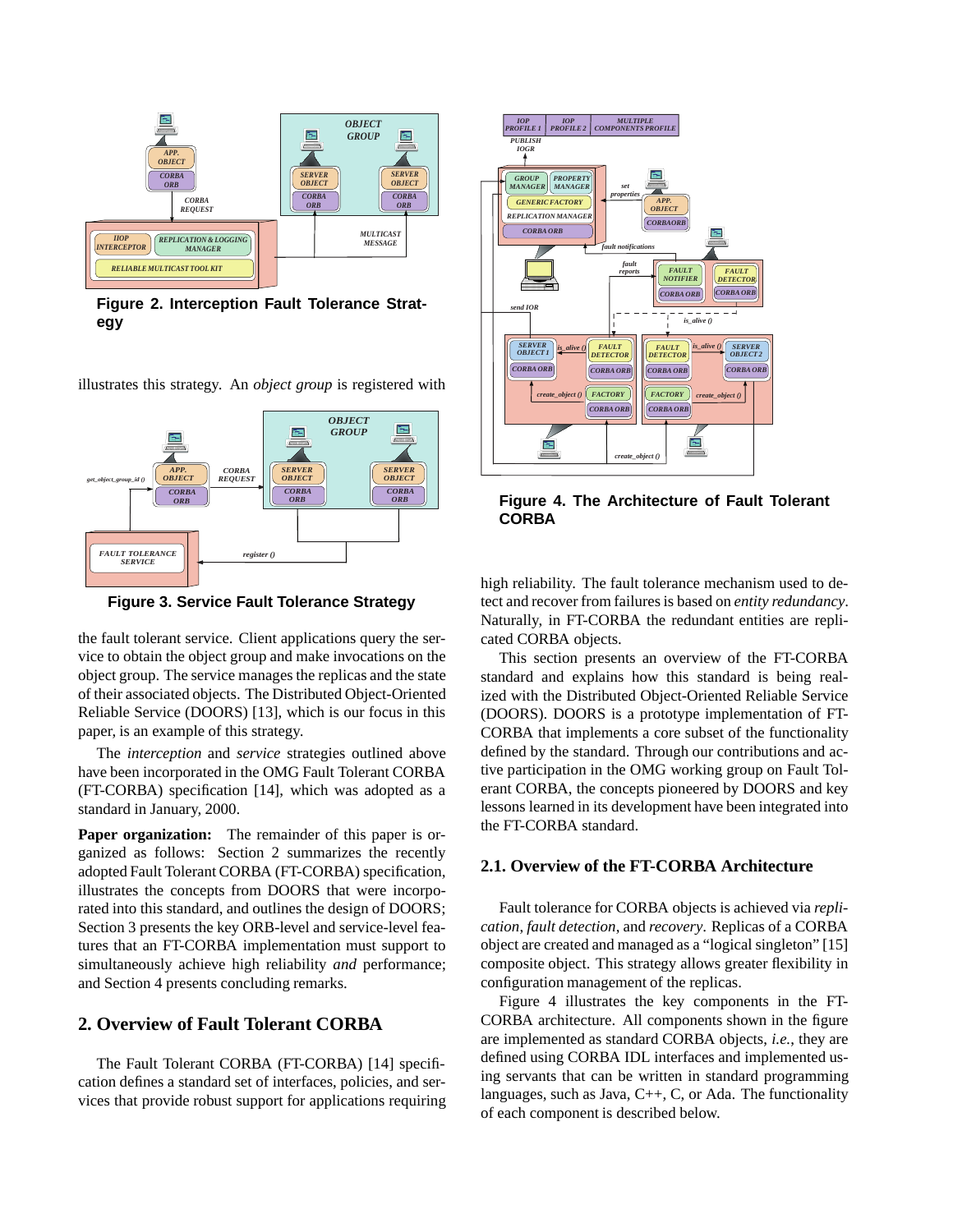

**Figure 2. Interception Fault Tolerance Strategy**

illustrates this strategy. An *object group* is registered with



**Figure 3. Service Fault Tolerance Strategy**

the fault tolerant service. Client applications query the service to obtain the object group and make invocations on the object group. The service manages the replicas and the state of their associated objects. The Distributed Object-Oriented Reliable Service (DOORS) [13], which is our focus in this paper, is an example of this strategy.

The *interception* and *service* strategies outlined above have been incorporated in the OMG Fault Tolerant CORBA (FT-CORBA) specification [14], which was adopted as a standard in January, 2000.

**Paper organization:** The remainder of this paper is organized as follows: Section 2 summarizes the recently adopted Fault Tolerant CORBA (FT-CORBA) specification, illustrates the concepts from DOORS that were incorporated into this standard, and outlines the design of DOORS; Section 3 presents the key ORB-level and service-level features that an FT-CORBA implementation must support to simultaneously achieve high reliability *and* performance; and Section 4 presents concluding remarks.

## **2. Overview of Fault Tolerant CORBA**

The Fault Tolerant CORBA (FT-CORBA) [14] specification defines a standard set of interfaces, policies, and services that provide robust support for applications requiring



**Figure 4. The Architecture of Fault Tolerant CORBA**

high reliability. The fault tolerance mechanism used to detect and recover from failures is based on *entity redundancy*. Naturally, in FT-CORBA the redundant entities are replicated CORBA objects.

This section presents an overview of the FT-CORBA standard and explains how this standard is being realized with the Distributed Object-Oriented Reliable Service (DOORS). DOORS is a prototype implementation of FT-CORBA that implements a core subset of the functionality defined by the standard. Through our contributions and active participation in the OMG working group on Fault Tolerant CORBA, the concepts pioneered by DOORS and key lessons learned in its development have been integrated into the FT-CORBA standard.

#### **2.1. Overview of the FT-CORBA Architecture**

Fault tolerance for CORBA objects is achieved via *replication*, *fault detection*, and *recovery*. Replicas of a CORBA object are created and managed as a "logical singleton" [15] composite object. This strategy allows greater flexibility in configuration management of the replicas.

Figure 4 illustrates the key components in the FT-CORBA architecture. All components shown in the figure are implemented as standard CORBA objects, *i.e.*, they are defined using CORBA IDL interfaces and implemented using servants that can be written in standard programming languages, such as Java,  $C_{++}$ , C, or Ada. The functionality of each component is described below.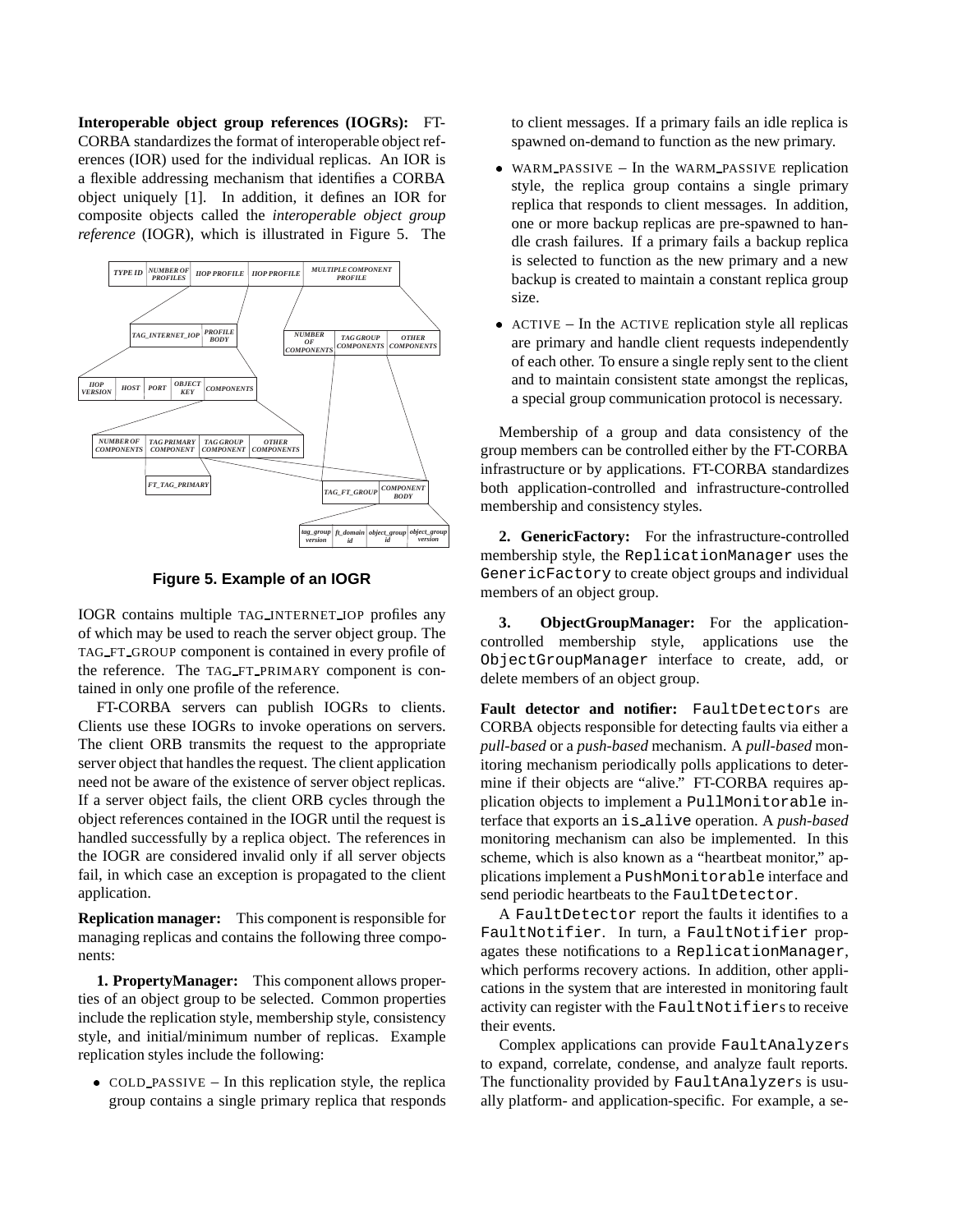**Interoperable object group references (IOGRs):** FT-CORBA standardizes the format of interoperable object references (IOR) used for the individual replicas. An IOR is a flexible addressing mechanism that identifies a CORBA object uniquely [1]. In addition, it defines an IOR for composite objects called the *interoperable object group reference* (IOGR), which is illustrated in Figure 5. The



**Figure 5. Example of an IOGR**

IOGR contains multiple TAG INTERNET IOP profiles any of which may be used to reach the server object group. The TAG FT GROUP component is contained in every profile of the reference. The TAG FT PRIMARY component is contained in only one profile of the reference.

FT-CORBA servers can publish IOGRs to clients. Clients use these IOGRs to invoke operations on servers. The client ORB transmits the request to the appropriate server object that handles the request. The client application need not be aware of the existence of server object replicas. If a server object fails, the client ORB cycles through the object references contained in the IOGR until the request is handled successfully by a replica object. The references in the IOGR are considered invalid only if all server objects fail, in which case an exception is propagated to the client application.

**Replication manager:** This component is responsible for managing replicas and contains the following three components:

**1. PropertyManager:** This component allows properties of an object group to be selected. Common properties include the replication style, membership style, consistency style, and initial/minimum number of replicas. Example replication styles include the following:

 $\bullet$  COLD PASSIVE – In this replication style, the replica group contains a single primary replica that responds to client messages. If a primary fails an idle replica is spawned on-demand to function as the new primary.

- WARM\_PASSIVE In the WARM\_PASSIVE replication style, the replica group contains a single primary replica that responds to client messages. In addition, one or more backup replicas are pre-spawned to handle crash failures. If a primary fails a backup replica is selected to function as the new primary and a new backup is created to maintain a constant replica group size.
- $\bullet$  ACTIVE In the ACTIVE replication style all replicas are primary and handle client requests independently of each other. To ensure a single reply sent to the client and to maintain consistent state amongst the replicas, a special group communication protocol is necessary.

Membership of a group and data consistency of the group members can be controlled either by the FT-CORBA infrastructure or by applications. FT-CORBA standardizes both application-controlled and infrastructure-controlled membership and consistency styles.

**2. GenericFactory:** For the infrastructure-controlled membership style, the ReplicationManager uses the GenericFactory to create object groups and individual members of an object group.

**3. ObjectGroupManager:** For the applicationcontrolled membership style, applications use the ObjectGroupManager interface to create, add, or delete members of an object group.

**Fault detector and notifier:** FaultDetectors are CORBA objects responsible for detecting faults via either a *pull-based* or a *push-based* mechanism. A *pull-based* monitoring mechanism periodically polls applications to determine if their objects are "alive." FT-CORBA requires application objects to implement a PullMonitorable interface that exports an is alive operation. A *push-based* monitoring mechanism can also be implemented. In this scheme, which is also known as a "heartbeat monitor," applications implement a PushMonitorable interface and send periodic heartbeats to the FaultDetector.

A FaultDetector report the faults it identifies to a FaultNotifier. In turn, a FaultNotifier propagates these notifications to a ReplicationManager, which performs recovery actions. In addition, other applications in the system that are interested in monitoring fault activity can register with the FaultNotifiers to receive their events.

Complex applications can provide FaultAnalyzers to expand, correlate, condense, and analyze fault reports. The functionality provided by FaultAnalyzers is usually platform- and application-specific. For example, a se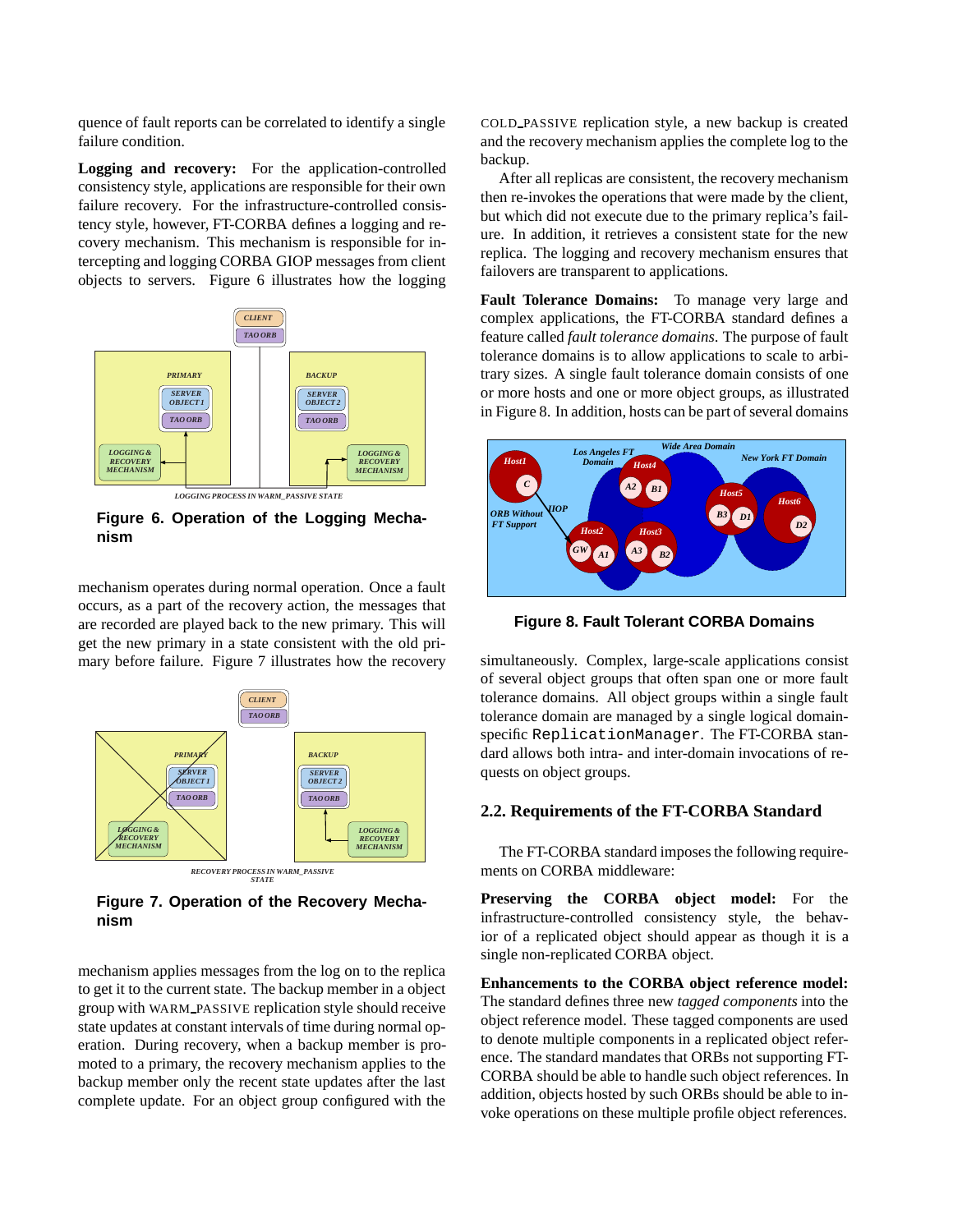quence of fault reports can be correlated to identify a single failure condition.

**Logging and recovery:** For the application-controlled consistency style, applications are responsible for their own failure recovery. For the infrastructure-controlled consistency style, however, FT-CORBA defines a logging and recovery mechanism. This mechanism is responsible for intercepting and logging CORBA GIOP messages from client objects to servers. Figure 6 illustrates how the logging



**Figure 6. Operation of the Logging Mechanism**

mechanism operates during normal operation. Once a fault occurs, as a part of the recovery action, the messages that are recorded are played back to the new primary. This will get the new primary in a state consistent with the old primary before failure. Figure 7 illustrates how the recovery



*STATE*

**Figure 7. Operation of the Recovery Mechanism**

mechanism applies messages from the log on to the replica to get it to the current state. The backup member in a object group with WARM PASSIVE replication style should receive state updates at constant intervals of time during normal operation. During recovery, when a backup member is promoted to a primary, the recovery mechanism applies to the backup member only the recent state updates after the last complete update. For an object group configured with the

COLD PASSIVE replication style, a new backup is created and the recovery mechanism applies the complete log to the backup.

After all replicas are consistent, the recovery mechanism then re-invokes the operations that were made by the client, but which did not execute due to the primary replica's failure. In addition, it retrieves a consistent state for the new replica. The logging and recovery mechanism ensures that failovers are transparent to applications.

**Fault Tolerance Domains:** To manage very large and complex applications, the FT-CORBA standard defines a feature called *fault tolerance domains*. The purpose of fault tolerance domains is to allow applications to scale to arbitrary sizes. A single fault tolerance domain consists of one or more hosts and one or more object groups, as illustrated in Figure 8. In addition, hosts can be part of several domains



**Figure 8. Fault Tolerant CORBA Domains**

simultaneously. Complex, large-scale applications consist of several object groups that often span one or more fault tolerance domains. All object groups within a single fault tolerance domain are managed by a single logical domainspecific ReplicationManager. The FT-CORBA standard allows both intra- and inter-domain invocations of requests on object groups.

#### **2.2. Requirements of the FT-CORBA Standard**

The FT-CORBA standard imposes the following requirements on CORBA middleware:

**Preserving the CORBA object model:** For the infrastructure-controlled consistency style, the behavior of a replicated object should appear as though it is a single non-replicated CORBA object.

**Enhancements to the CORBA object reference model:** The standard defines three new *tagged components* into the object reference model. These tagged components are used to denote multiple components in a replicated object reference. The standard mandates that ORBs not supporting FT-CORBA should be able to handle such object references. In addition, objects hosted by such ORBs should be able to invoke operations on these multiple profile object references.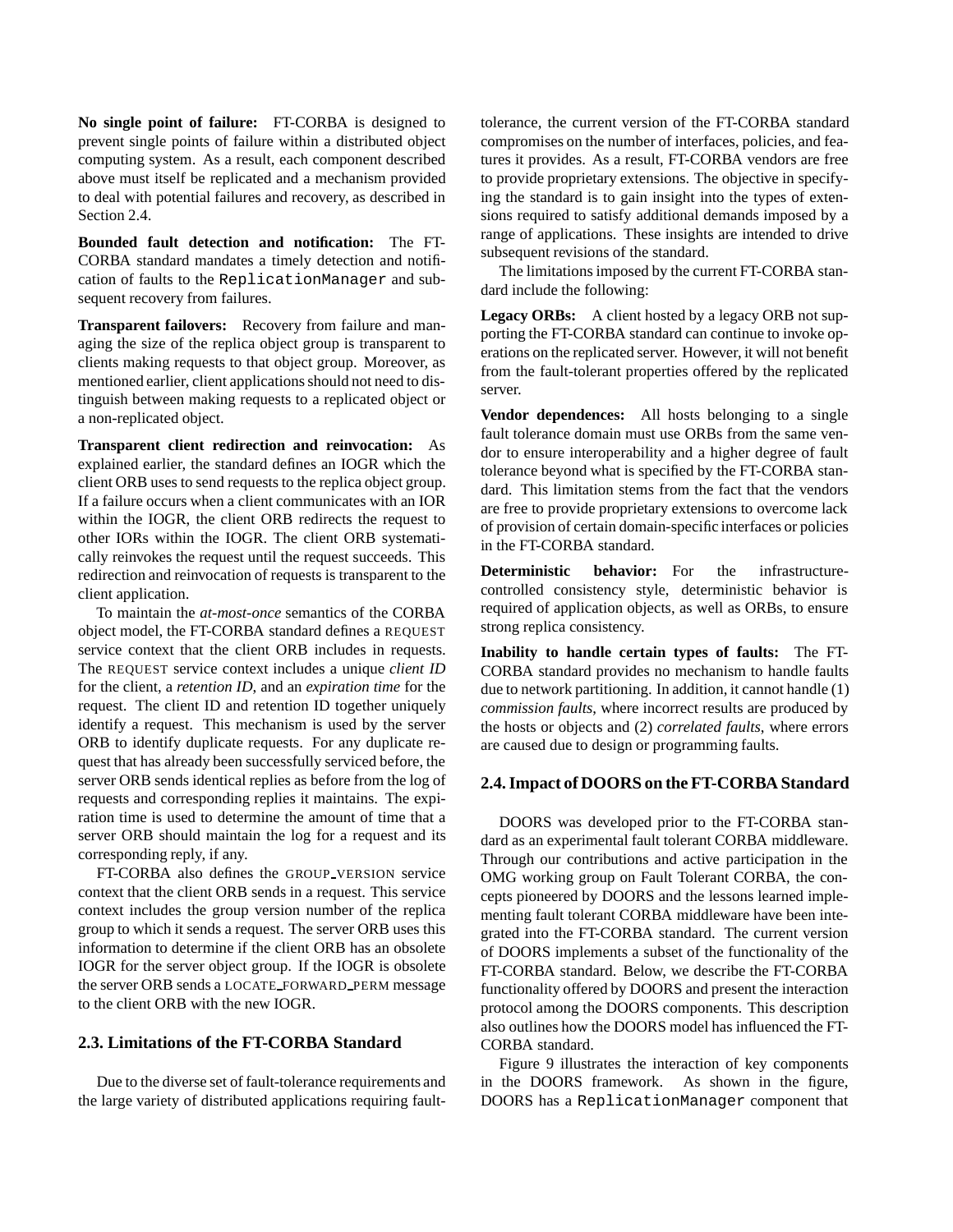**No single point of failure:** FT-CORBA is designed to prevent single points of failure within a distributed object computing system. As a result, each component described above must itself be replicated and a mechanism provided to deal with potential failures and recovery, as described in Section 2.4.

**Bounded fault detection and notification:** The FT-CORBA standard mandates a timely detection and notification of faults to the ReplicationManager and subsequent recovery from failures.

**Transparent failovers:** Recovery from failure and managing the size of the replica object group is transparent to clients making requests to that object group. Moreover, as mentioned earlier, client applications should not need to distinguish between making requests to a replicated object or a non-replicated object.

**Transparent client redirection and reinvocation:** As explained earlier, the standard defines an IOGR which the client ORB uses to send requests to the replica object group. If a failure occurs when a client communicates with an IOR within the IOGR, the client ORB redirects the request to other IORs within the IOGR. The client ORB systematically reinvokes the request until the request succeeds. This redirection and reinvocation of requests is transparent to the client application.

To maintain the *at-most-once* semantics of the CORBA object model, the FT-CORBA standard defines a REQUEST service context that the client ORB includes in requests. The REQUEST service context includes a unique *client ID* for the client, a *retention ID*, and an *expiration time* for the request. The client ID and retention ID together uniquely identify a request. This mechanism is used by the server ORB to identify duplicate requests. For any duplicate request that has already been successfully serviced before, the server ORB sends identical replies as before from the log of requests and corresponding replies it maintains. The expiration time is used to determine the amount of time that a server ORB should maintain the log for a request and its corresponding reply, if any.

FT-CORBA also defines the GROUP VERSION service context that the client ORB sends in a request. This service context includes the group version number of the replica group to which it sends a request. The server ORB uses this information to determine if the client ORB has an obsolete IOGR for the server object group. If the IOGR is obsolete the server ORB sends a LOCATE FORWARD PERM message to the client ORB with the new IOGR.

#### **2.3. Limitations of the FT-CORBA Standard**

Due to the diverse set of fault-tolerance requirements and the large variety of distributed applications requiring faulttolerance, the current version of the FT-CORBA standard compromises on the number of interfaces, policies, and features it provides. As a result, FT-CORBA vendors are free to provide proprietary extensions. The objective in specifying the standard is to gain insight into the types of extensions required to satisfy additional demands imposed by a range of applications. These insights are intended to drive subsequent revisions of the standard.

The limitations imposed by the current FT-CORBA standard include the following:

Legacy ORBs: A client hosted by a legacy ORB not supporting the FT-CORBA standard can continue to invoke operations on the replicated server. However, it will not benefit from the fault-tolerant properties offered by the replicated server.

**Vendor dependences:** All hosts belonging to a single fault tolerance domain must use ORBs from the same vendor to ensure interoperability and a higher degree of fault tolerance beyond what is specified by the FT-CORBA standard. This limitation stems from the fact that the vendors are free to provide proprietary extensions to overcome lack of provision of certain domain-specific interfaces or policies in the FT-CORBA standard.

**Deterministic behavior:** For the infrastructurecontrolled consistency style, deterministic behavior is required of application objects, as well as ORBs, to ensure strong replica consistency.

**Inability to handle certain types of faults:** The FT-CORBA standard provides no mechanism to handle faults due to network partitioning. In addition, it cannot handle (1) *commission faults*, where incorrect results are produced by the hosts or objects and (2) *correlated faults*, where errors are caused due to design or programming faults.

#### **2.4. Impact of DOORS on the FT-CORBA Standard**

DOORS was developed prior to the FT-CORBA standard as an experimental fault tolerant CORBA middleware. Through our contributions and active participation in the OMG working group on Fault Tolerant CORBA, the concepts pioneered by DOORS and the lessons learned implementing fault tolerant CORBA middleware have been integrated into the FT-CORBA standard. The current version of DOORS implements a subset of the functionality of the FT-CORBA standard. Below, we describe the FT-CORBA functionality offered by DOORS and present the interaction protocol among the DOORS components. This description also outlines how the DOORS model has influenced the FT-CORBA standard.

Figure 9 illustrates the interaction of key components in the DOORS framework. As shown in the figure, DOORS has a ReplicationManager component that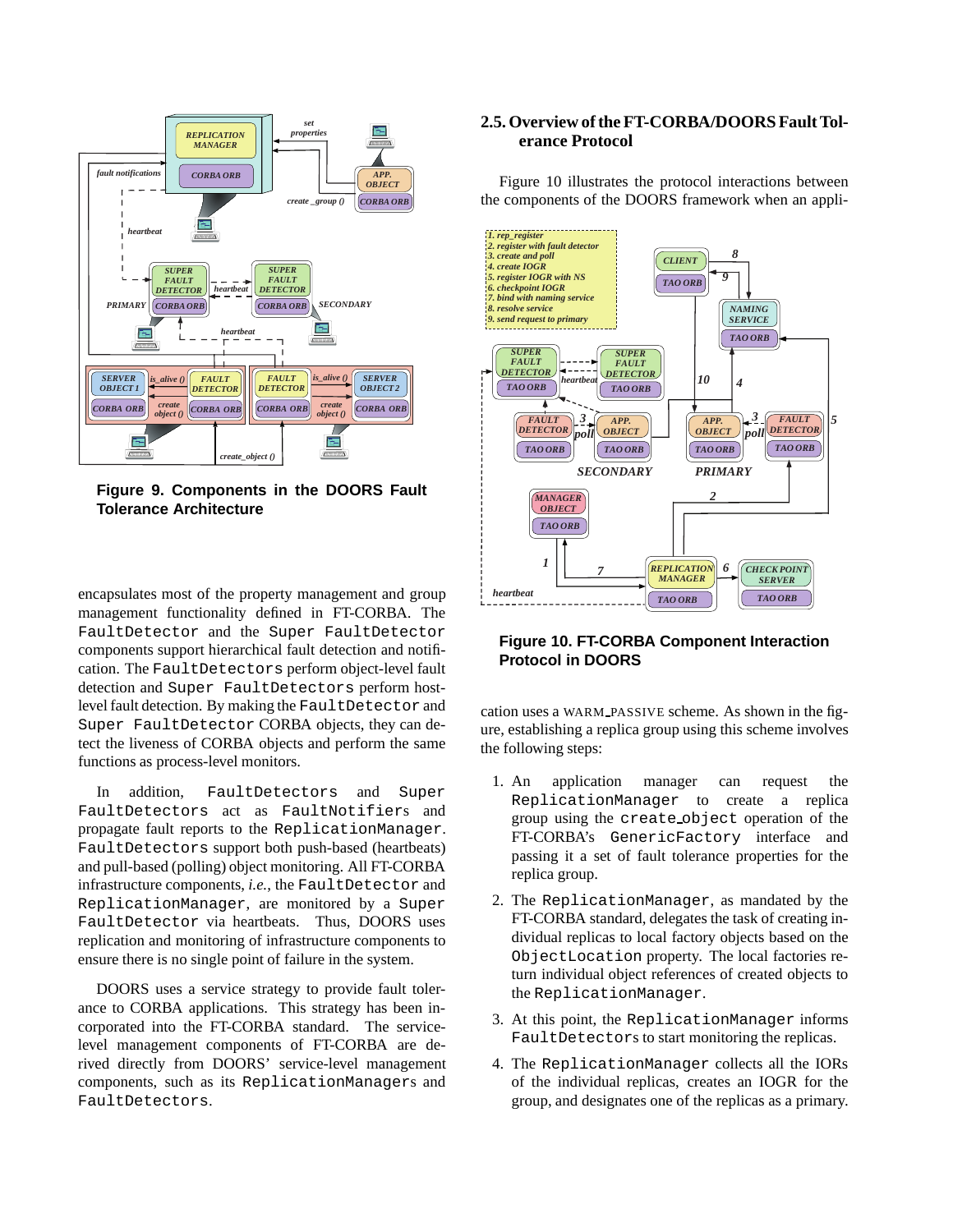

**Figure 9. Components in the DOORS Fault Tolerance Architecture**

encapsulates most of the property management and group management functionality defined in FT-CORBA. The FaultDetector and the Super FaultDetector components support hierarchical fault detection and notification. The FaultDetectors perform object-level fault detection and Super FaultDetectors perform hostlevel fault detection. By making the FaultDetector and Super FaultDetector CORBA objects, they can detect the liveness of CORBA objects and perform the same functions as process-level monitors.

In addition, FaultDetectors and Super FaultDetectors act as FaultNotifiers and propagate fault reports to the ReplicationManager. FaultDetectors support both push-based (heartbeats) and pull-based (polling) object monitoring. All FT-CORBA infrastructure components, *i.e.*, the FaultDetector and ReplicationManager, are monitored by a Super FaultDetector via heartbeats. Thus, DOORS uses replication and monitoring of infrastructure components to ensure there is no single point of failure in the system.

DOORS uses a service strategy to provide fault tolerance to CORBA applications. This strategy has been incorporated into the FT-CORBA standard. The servicelevel management components of FT-CORBA are derived directly from DOORS' service-level management components, such as its ReplicationManagers and FaultDetectors.

# **2.5. Overview of the FT-CORBA/DOORS Fault Tolerance Protocol**

Figure 10 illustrates the protocol interactions between the components of the DOORS framework when an appli-



### **Figure 10. FT-CORBA Component Interaction Protocol in DOORS**

cation uses a WARM PASSIVE scheme. As shown in the figure, establishing a replica group using this scheme involves the following steps:

- 1. An application manager can request the ReplicationManager to create a replica group using the create object operation of the FT-CORBA's GenericFactory interface and passing it a set of fault tolerance properties for the replica group.
- 2. The ReplicationManager, as mandated by the FT-CORBA standard, delegates the task of creating individual replicas to local factory objects based on the ObjectLocation property. The local factories return individual object references of created objects to the ReplicationManager.
- 3. At this point, the ReplicationManager informs FaultDetectors to start monitoring the replicas.
- 4. The ReplicationManager collects all the IORs of the individual replicas, creates an IOGR for the group, and designates one of the replicas as a primary.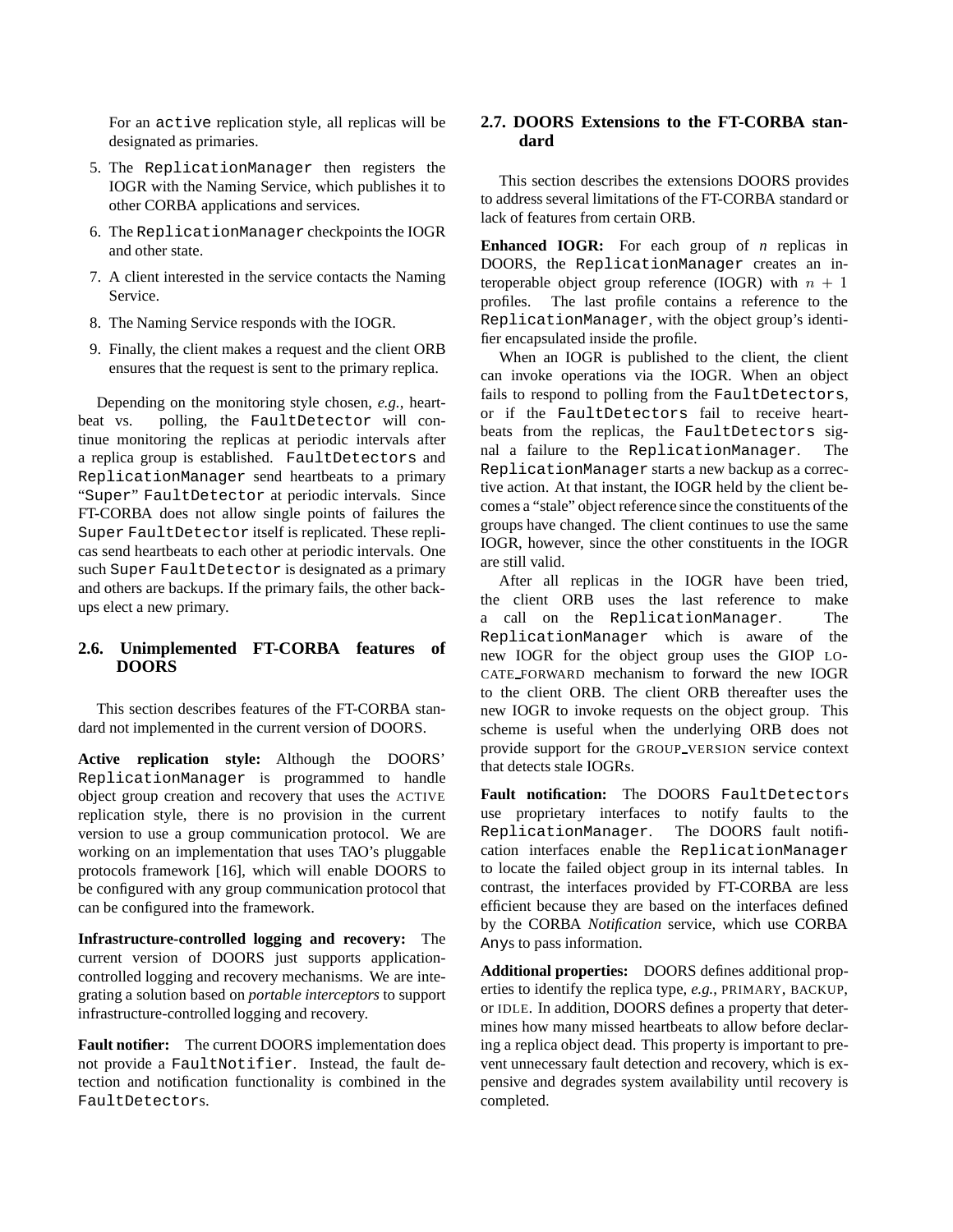For an active replication style, all replicas will be designated as primaries.

- 5. The ReplicationManager then registers the IOGR with the Naming Service, which publishes it to other CORBA applications and services.
- 6. The ReplicationManager checkpoints the IOGR and other state.
- 7. A client interested in the service contacts the Naming Service.
- 8. The Naming Service responds with the IOGR.
- 9. Finally, the client makes a request and the client ORB ensures that the request is sent to the primary replica.

Depending on the monitoring style chosen, *e.g.*, heartbeat vs. polling, the FaultDetector will continue monitoring the replicas at periodic intervals after a replica group is established. FaultDetectors and ReplicationManager send heartbeats to a primary "Super" FaultDetector at periodic intervals. Since FT-CORBA does not allow single points of failures the Super FaultDetector itself is replicated. These replicas send heartbeats to each other at periodic intervals. One such Super FaultDetector is designated as a primary and others are backups. If the primary fails, the other backups elect a new primary.

### **2.6. Unimplemented FT-CORBA features of DOORS**

This section describes features of the FT-CORBA standard not implemented in the current version of DOORS.

**Active replication style:** Although the DOORS' ReplicationManager is programmed to handle object group creation and recovery that uses the ACTIVE replication style, there is no provision in the current version to use a group communication protocol. We are working on an implementation that uses TAO's pluggable protocols framework [16], which will enable DOORS to be configured with any group communication protocol that can be configured into the framework.

**Infrastructure-controlled logging and recovery:** The current version of DOORS just supports applicationcontrolled logging and recovery mechanisms. We are integrating a solution based on *portable interceptors* to support infrastructure-controlled logging and recovery.

**Fault notifier:** The current DOORS implementation does not provide a FaultNotifier. Instead, the fault detection and notification functionality is combined in the FaultDetectors.

#### **2.7. DOORS Extensions to the FT-CORBA standard**

This section describes the extensions DOORS provides to address several limitations of the FT-CORBA standard or lack of features from certain ORB.

**Enhanced IOGR:** For each group of *n* replicas in DOORS, the ReplicationManager creates an interoperable object group reference (IOGR) with  $n + 1$ profiles. The last profile contains a reference to the ReplicationManager, with the object group's identifier encapsulated inside the profile.

When an IOGR is published to the client, the client can invoke operations via the IOGR. When an object fails to respond to polling from the FaultDetectors, or if the FaultDetectors fail to receive heartbeats from the replicas, the FaultDetectors signal a failure to the ReplicationManager. The ReplicationManager starts a new backup as a corrective action. At that instant, the IOGR held by the client becomes a "stale" object reference since the constituents of the groups have changed. The client continues to use the same IOGR, however, since the other constituents in the IOGR are still valid.

After all replicas in the IOGR have been tried, the client ORB uses the last reference to make a call on the ReplicationManager. The ReplicationManager which is aware of the new IOGR for the object group uses the GIOP LO-CATE FORWARD mechanism to forward the new IOGR to the client ORB. The client ORB thereafter uses the new IOGR to invoke requests on the object group. This scheme is useful when the underlying ORB does not provide support for the GROUP VERSION service context that detects stale IOGRs.

**Fault notification:** The DOORS FaultDetectors use proprietary interfaces to notify faults to the ReplicationManager. The DOORS fault notification interfaces enable the ReplicationManager to locate the failed object group in its internal tables. In contrast, the interfaces provided by FT-CORBA are less efficient because they are based on the interfaces defined by the CORBA *Notification* service, which use CORBA Anys to pass information.

**Additional properties:** DOORS defines additional properties to identify the replica type, *e.g.*, PRIMARY, BACKUP, or IDLE. In addition, DOORS defines a property that determines how many missed heartbeats to allow before declaring a replica object dead. This property is important to prevent unnecessary fault detection and recovery, which is expensive and degrades system availability until recovery is completed.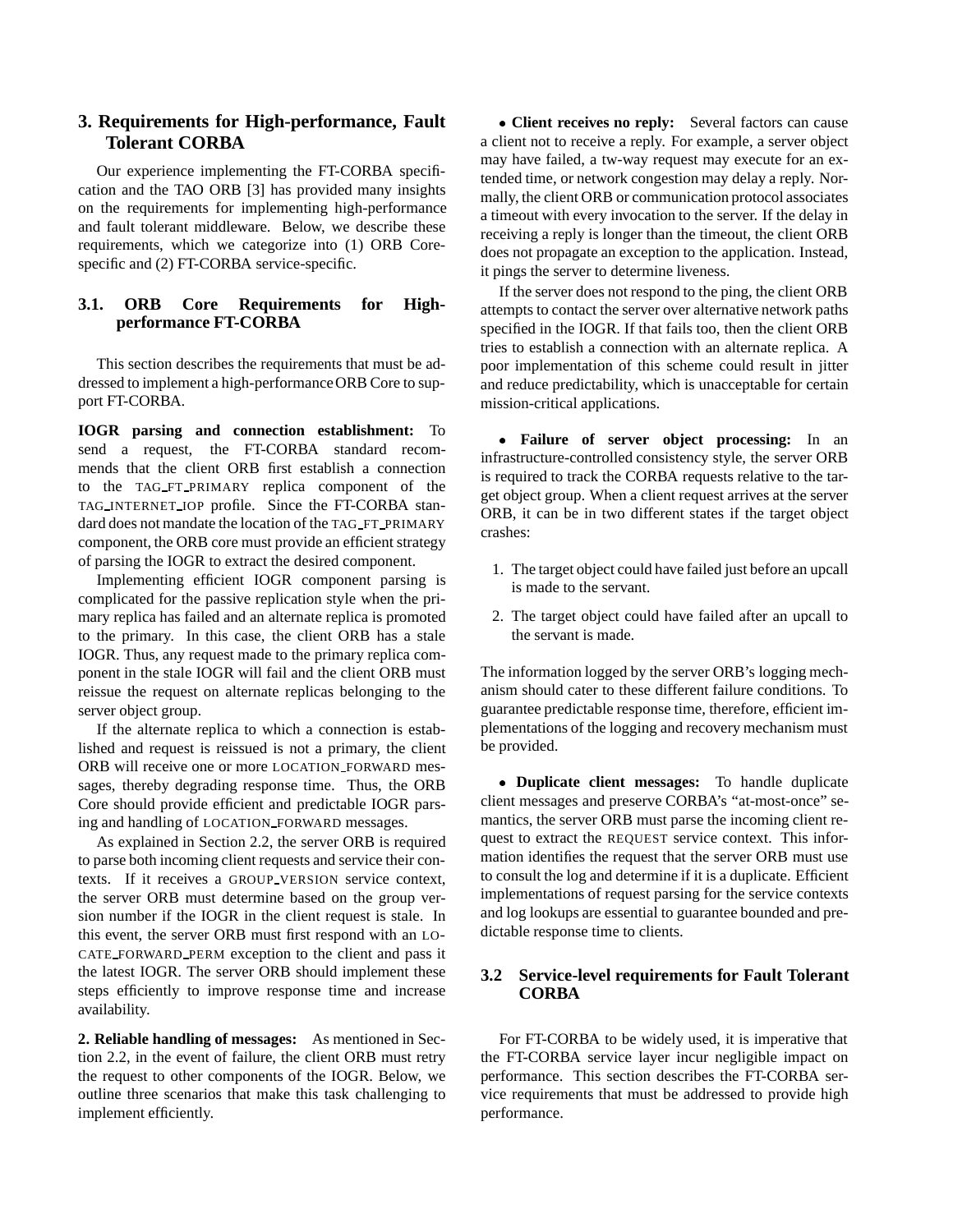## **3. Requirements for High-performance, Fault Tolerant CORBA**

Our experience implementing the FT-CORBA specification and the TAO ORB [3] has provided many insights on the requirements for implementing high-performance and fault tolerant middleware. Below, we describe these requirements, which we categorize into (1) ORB Corespecific and (2) FT-CORBA service-specific.

## **3.1. ORB Core Requirements for Highperformance FT-CORBA**

This section describes the requirements that must be addressed to implement a high-performanceORB Core to support FT-CORBA.

**IOGR parsing and connection establishment:** To send a request, the FT-CORBA standard recommends that the client ORB first establish a connection to the TAG FT PRIMARY replica component of the TAG INTERNET IOP profile. Since the FT-CORBA standard does not mandate the location of the TAG\_FT\_PRIMARY component, the ORB core must provide an efficient strategy of parsing the IOGR to extract the desired component.

Implementing efficient IOGR component parsing is complicated for the passive replication style when the primary replica has failed and an alternate replica is promoted to the primary. In this case, the client ORB has a stale IOGR. Thus, any request made to the primary replica component in the stale IOGR will fail and the client ORB must reissue the request on alternate replicas belonging to the server object group.

If the alternate replica to which a connection is established and request is reissued is not a primary, the client ORB will receive one or more LOCATION FORWARD messages, thereby degrading response time. Thus, the ORB Core should provide efficient and predictable IOGR parsing and handling of LOCATION FORWARD messages.

As explained in Section 2.2, the server ORB is required to parse both incoming client requests and service their contexts. If it receives a GROUP VERSION service context, the server ORB must determine based on the group version number if the IOGR in the client request is stale. In this event, the server ORB must first respond with an LO-CATE FORWARD PERM exception to the client and pass it the latest IOGR. The server ORB should implement these steps efficiently to improve response time and increase availability.

**2. Reliable handling of messages:** As mentioned in Section 2.2, in the event of failure, the client ORB must retry the request to other components of the IOGR. Below, we outline three scenarios that make this task challenging to implement efficiently.

 **Client receives no reply:** Several factors can cause a client not to receive a reply. For example, a server object may have failed, a tw-way request may execute for an extended time, or network congestion may delay a reply. Normally, the client ORB or communication protocol associates a timeout with every invocation to the server. If the delay in receiving a reply is longer than the timeout, the client ORB does not propagate an exception to the application. Instead, it pings the server to determine liveness.

If the server does not respond to the ping, the client ORB attempts to contact the server over alternative network paths specified in the IOGR. If that fails too, then the client ORB tries to establish a connection with an alternate replica. A poor implementation of this scheme could result in jitter and reduce predictability, which is unacceptable for certain mission-critical applications.

 **Failure of server object processing:** In an infrastructure-controlled consistency style, the server ORB is required to track the CORBA requests relative to the target object group. When a client request arrives at the server ORB, it can be in two different states if the target object crashes:

- 1. The target object could have failed just before an upcall is made to the servant.
- 2. The target object could have failed after an upcall to the servant is made.

The information logged by the server ORB's logging mechanism should cater to these different failure conditions. To guarantee predictable response time, therefore, efficient implementations of the logging and recovery mechanism must be provided.

 **Duplicate client messages:** To handle duplicate client messages and preserve CORBA's "at-most-once" semantics, the server ORB must parse the incoming client request to extract the REQUEST service context. This information identifies the request that the server ORB must use to consult the log and determine if it is a duplicate. Efficient implementations of request parsing for the service contexts and log lookups are essential to guarantee bounded and predictable response time to clients.

#### **3.2 Service-level requirements for Fault Tolerant CORBA**

For FT-CORBA to be widely used, it is imperative that the FT-CORBA service layer incur negligible impact on performance. This section describes the FT-CORBA service requirements that must be addressed to provide high performance.